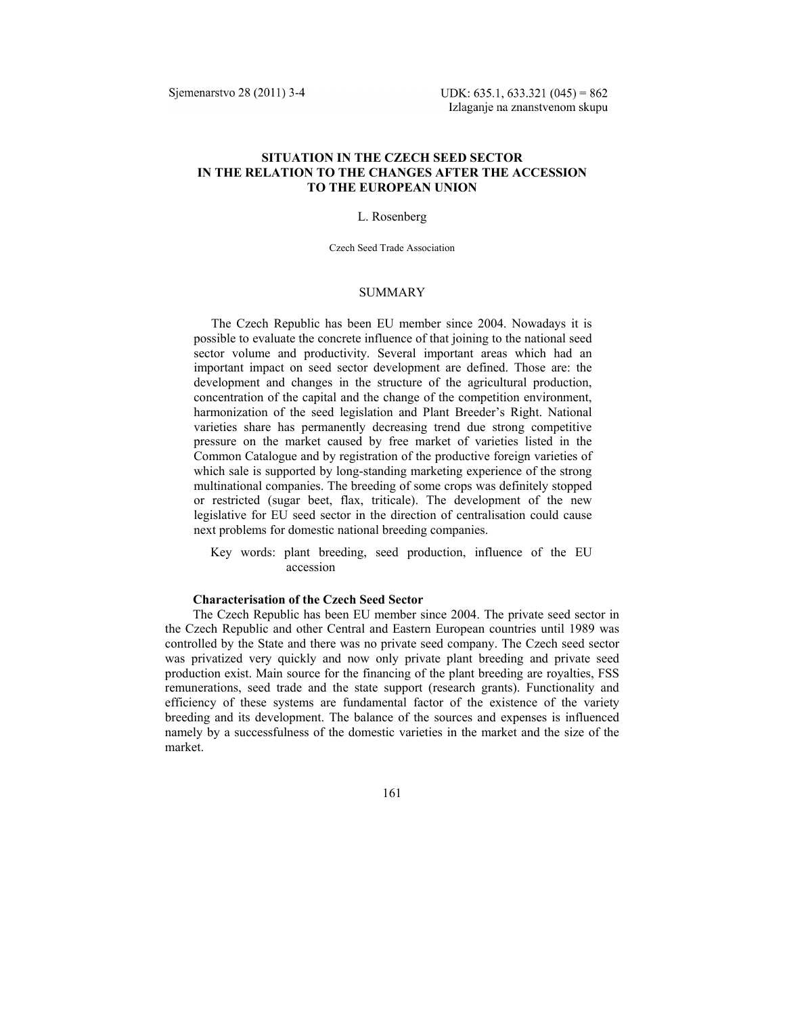# **SITUATION IN THE CZECH SEED SECTOR IN THE RELATION TO THE CHANGES AFTER THE ACCESSION TO THE EUROPEAN UNION**

## L. Rosenberg

Czech Seed Trade Association

### **SUMMARY**

The Czech Republic has been EU member since 2004. Nowadays it is possible to evaluate the concrete influence of that joining to the national seed sector volume and productivity. Several important areas which had an important impact on seed sector development are defined. Those are: the development and changes in the structure of the agricultural production, concentration of the capital and the change of the competition environment, harmonization of the seed legislation and Plant Breeder's Right. National varieties share has permanently decreasing trend due strong competitive pressure on the market caused by free market of varieties listed in the Common Catalogue and by registration of the productive foreign varieties of which sale is supported by long-standing marketing experience of the strong multinational companies. The breeding of some crops was definitely stopped or restricted (sugar beet, flax, triticale). The development of the new legislative for EU seed sector in the direction of centralisation could cause next problems for domestic national breeding companies.

Key words: plant breeding, seed production, influence of the EU accession

## **Characterisation of the Czech Seed Sector**

The Czech Republic has been EU member since 2004. The private seed sector in the Czech Republic and other Central and Eastern European countries until 1989 was controlled by the State and there was no private seed company. The Czech seed sector was privatized very quickly and now only private plant breeding and private seed production exist. Main source for the financing of the plant breeding are royalties, FSS remunerations, seed trade and the state support (research grants). Functionality and efficiency of these systems are fundamental factor of the existence of the variety breeding and its development. The balance of the sources and expenses is influenced namely by a successfulness of the domestic varieties in the market and the size of the market.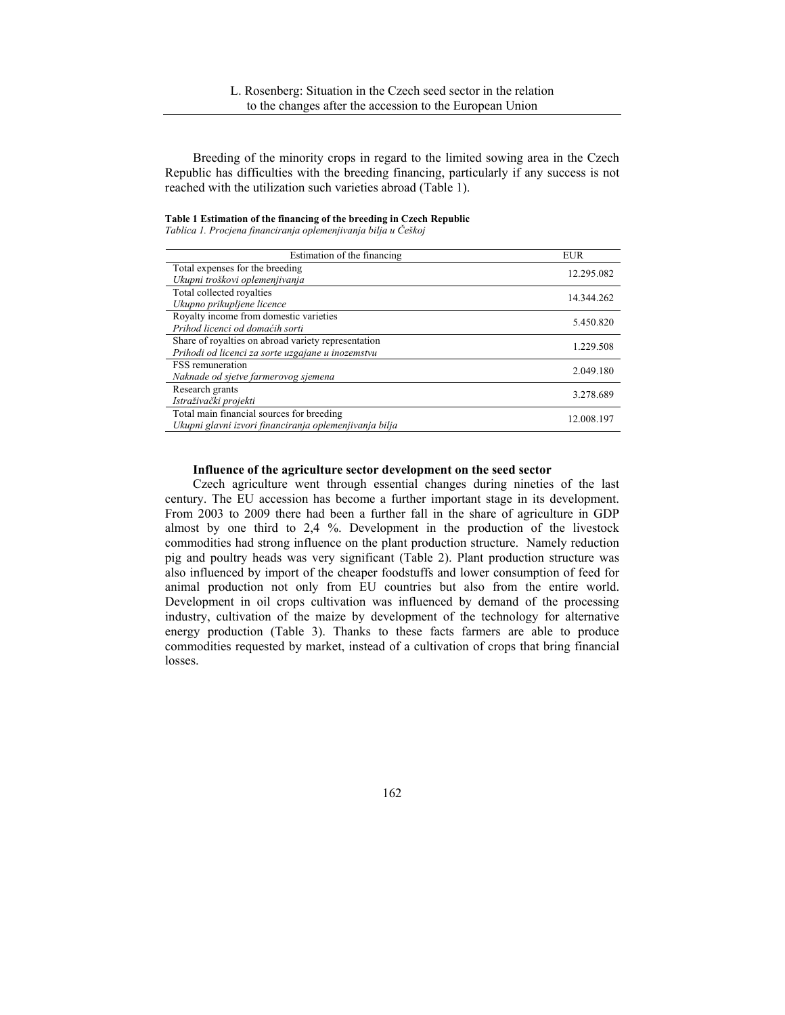Breeding of the minority crops in regard to the limited sowing area in the Czech Republic has difficulties with the breeding financing, particularly if any success is not reached with the utilization such varieties abroad (Table 1).

### **Table 1 Estimation of the financing of the breeding in Czech Republic**

*Tablica 1. Procjena financiranja oplemenjivanja bilja u Češkoj* 

| Estimation of the financing                            | <b>EUR</b> |
|--------------------------------------------------------|------------|
| Total expenses for the breeding                        | 12.295.082 |
| Ukupni troškovi oplemenjivanja                         |            |
| Total collected royalties                              | 14.344.262 |
| Ukupno prikupljene licence                             |            |
| Royalty income from domestic varieties                 | 5.450.820  |
| Prihod licenci od domaćih sorti                        |            |
| Share of royalties on abroad variety representation    | 1.229.508  |
| Prihodi od licenci za sorte uzgajane u inozemstvu      |            |
| <b>FSS</b> remuneration                                | 2.049.180  |
| Naknade od sjetve farmerovog sjemena                   |            |
| Research grants                                        | 3.278.689  |
| Istraživački projekti                                  |            |
| Total main financial sources for breeding              | 12.008.197 |
| Ukupni glavni izvori financiranja oplemenjivanja bilja |            |

### **Influence of the agriculture sector development on the seed sector**

Czech agriculture went through essential changes during nineties of the last century. The EU accession has become a further important stage in its development. From 2003 to 2009 there had been a further fall in the share of agriculture in GDP almost by one third to 2,4 %. Development in the production of the livestock commodities had strong influence on the plant production structure. Namely reduction pig and poultry heads was very significant (Table 2). Plant production structure was also influenced by import of the cheaper foodstuffs and lower consumption of feed for animal production not only from EU countries but also from the entire world. Development in oil crops cultivation was influenced by demand of the processing industry, cultivation of the maize by development of the technology for alternative energy production (Table 3). Thanks to these facts farmers are able to produce commodities requested by market, instead of a cultivation of crops that bring financial losses.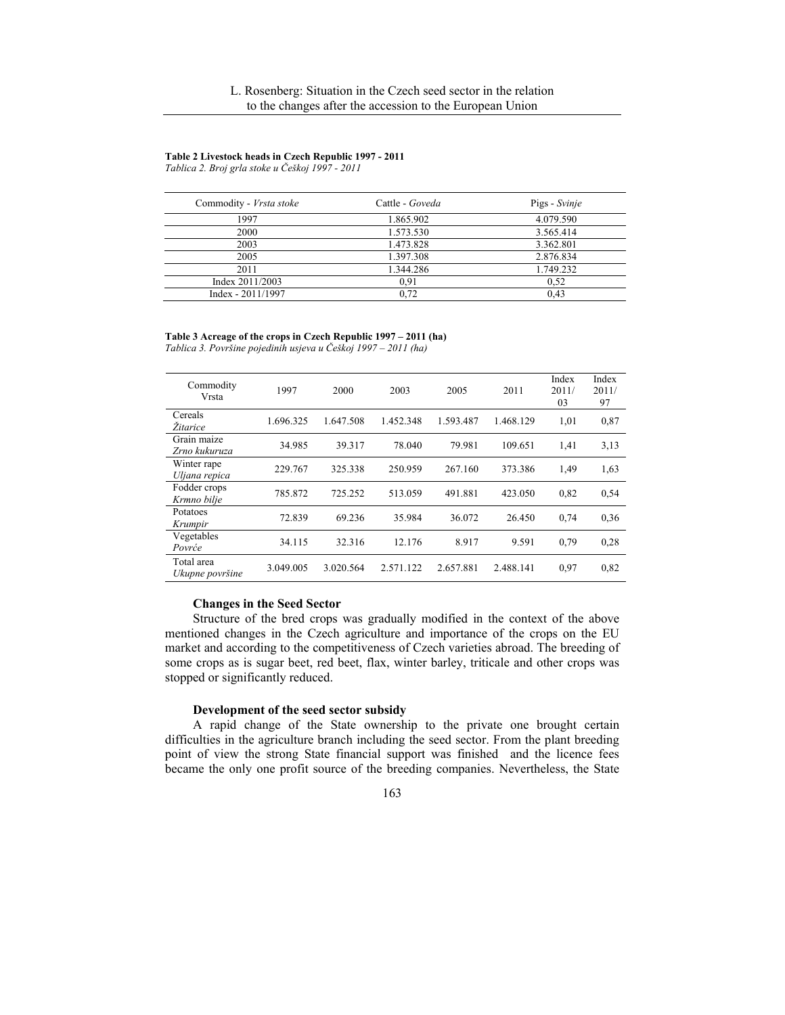#### **Table 2 Livestock heads in Czech Republic 1997 - 2011**

*Tablica 2. Broj grla stoke u Češkoj 1997 - 2011* 

| Commodity - Vrsta stoke | Cattle - Goveda | Pigs - Svinje |
|-------------------------|-----------------|---------------|
| 1997                    | 1.865.902       | 4.079.590     |
| 2000                    | 1.573.530       | 3.565.414     |
| 2003                    | 1.473.828       | 3.362.801     |
| 2005                    | 1.397.308       | 2.876.834     |
| 2011                    | 1.344.286       | 1.749.232     |
| Index 2011/2003         | 0.91            | 0.52          |
| $Index - 2011/1997$     | 0.72            | 0.43          |

#### **Table 3 Acreage of the crops in Czech Republic 1997 – 2011 (ha)**

*Tablica 3. Površine pojedinih usjeva u Češkoj 1997 – 2011 (ha)* 

| Commodity<br>Vrsta            | 1997      | 2000      | 2003      | 2005      | 2011      | Index<br>2011/<br>03 | Index<br>2011/<br>97 |
|-------------------------------|-----------|-----------|-----------|-----------|-----------|----------------------|----------------------|
| Cereals<br>Žitarice           | 1.696.325 | 1.647.508 | 1.452.348 | 1.593.487 | 1.468.129 | 1,01                 | 0,87                 |
| Grain maize<br>Zrno kukuruza  | 34.985    | 39.317    | 78.040    | 79.981    | 109.651   | 1,41                 | 3,13                 |
| Winter rape<br>Uljana repica  | 229.767   | 325.338   | 250.959   | 267.160   | 373.386   | 1,49                 | 1,63                 |
| Fodder crops<br>Krmno bilje   | 785.872   | 725.252   | 513.059   | 491.881   | 423.050   | 0.82                 | 0.54                 |
| Potatoes<br>Krumpir           | 72.839    | 69.236    | 35.984    | 36.072    | 26.450    | 0.74                 | 0.36                 |
| Vegetables<br>Povrće          | 34.115    | 32.316    | 12.176    | 8.917     | 9.591     | 0.79                 | 0,28                 |
| Total area<br>Ukupne površine | 3.049.005 | 3.020.564 | 2.571.122 | 2.657.881 | 2.488.141 | 0.97                 | 0,82                 |

# **Changes in the Seed Sector**

Structure of the bred crops was gradually modified in the context of the above mentioned changes in the Czech agriculture and importance of the crops on the EU market and according to the competitiveness of Czech varieties abroad. The breeding of some crops as is sugar beet, red beet, flax, winter barley, triticale and other crops was stopped or significantly reduced.

### **Development of the seed sector subsidy**

A rapid change of the State ownership to the private one brought certain difficulties in the agriculture branch including the seed sector. From the plant breeding point of view the strong State financial support was finished and the licence fees became the only one profit source of the breeding companies. Nevertheless, the State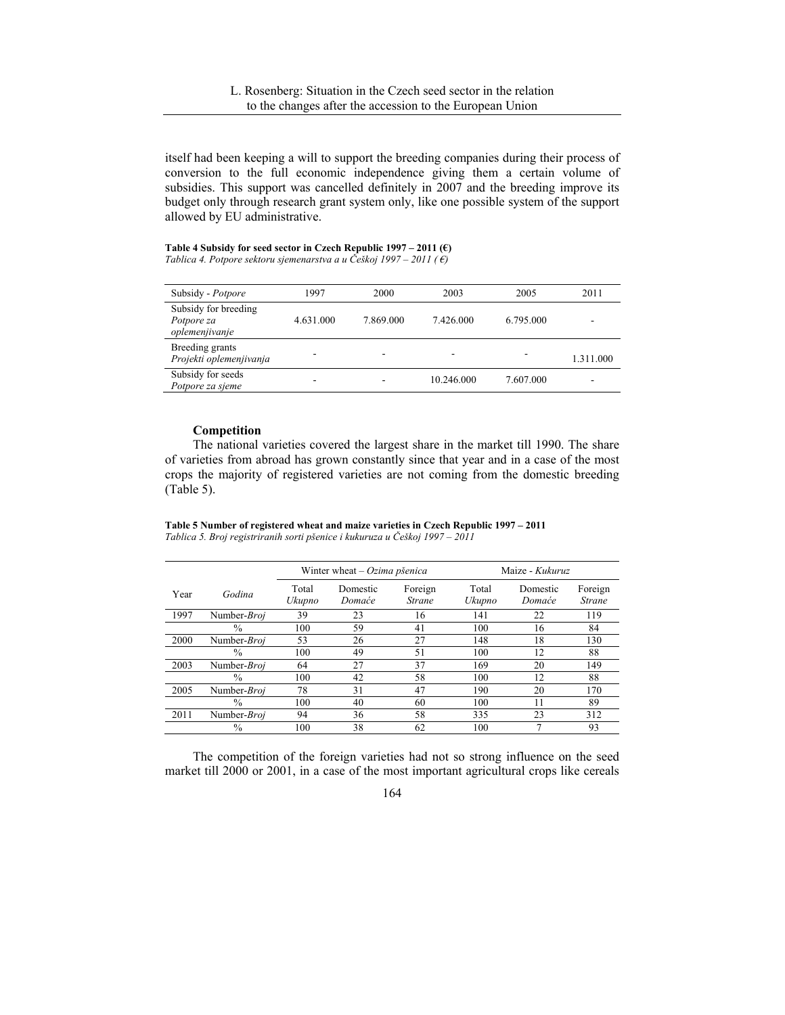itself had been keeping a will to support the breeding companies during their process of conversion to the full economic independence giving them a certain volume of subsidies. This support was cancelled definitely in 2007 and the breeding improve its budget only through research grant system only, like one possible system of the support allowed by EU administrative.

**Table 4 Subsidy for seed sector in Czech Republic 1997 – 2011 (€)**  *Tablica 4. Potpore sektoru sjemenarstva a u Češkoj 1997 – 2011 ( €)* 

| Subsidy - Potpore                                    | 1997      | 2000      | 2003       | 2005      | 2011      |
|------------------------------------------------------|-----------|-----------|------------|-----------|-----------|
| Subsidy for breeding<br>Potpore za<br>oplemenjivanje | 4.631.000 | 7.869.000 | 7.426.000  | 6.795.000 |           |
| Breeding grants<br>Projekti oplemenjivanja           |           |           | -          |           | 1.311.000 |
| Subsidy for seeds<br>Potpore za sieme                |           |           | 10.246.000 | 7.607.000 |           |

# **Competition**

The national varieties covered the largest share in the market till 1990. The share of varieties from abroad has grown constantly since that year and in a case of the most crops the majority of registered varieties are not coming from the domestic breeding (Table 5).

**Table 5 Number of registered wheat and maize varieties in Czech Republic 1997 – 2011**  *Tablica 5. Broj registriranih sorti pšenice i kukuruza u Češkoj 1997 – 2011* 

|      |               | Winter wheat $-Ozima$ pšenica |                    |                          | Maize - Kukuruz |                    |                          |
|------|---------------|-------------------------------|--------------------|--------------------------|-----------------|--------------------|--------------------------|
| Year | Godina        | Total<br>Ukupno               | Domestic<br>Domaće | Foreign<br><b>Strane</b> | Total<br>Ukupno | Domestic<br>Domaće | Foreign<br><b>Strane</b> |
| 1997 | Number-Broi   | 39                            | 23                 | 16                       | 141             | 22                 | 119                      |
|      | $\%$          | 100                           | 59                 | 41                       | 100             | 16                 | 84                       |
| 2000 | Number-Broj   | 53                            | 26                 | 27                       | 148             | 18                 | 130                      |
|      | $\frac{0}{0}$ | 100                           | 49                 | 51                       | 100             | 12                 | 88                       |
| 2003 | Number-Broj   | 64                            | 27                 | 37                       | 169             | 20                 | 149                      |
|      | $\frac{0}{0}$ | 100                           | 42                 | 58                       | 100             | 12                 | 88                       |
| 2005 | Number-Broj   | 78                            | 31                 | 47                       | 190             | 20                 | 170                      |
|      | $\%$          | 100                           | 40                 | 60                       | 100             | 11                 | 89                       |
| 2011 | Number-Broj   | 94                            | 36                 | 58                       | 335             | 23                 | 312                      |
|      | $\%$          | 100                           | 38                 | 62                       | 100             | 7                  | 93                       |

The competition of the foreign varieties had not so strong influence on the seed market till 2000 or 2001, in a case of the most important agricultural crops like cereals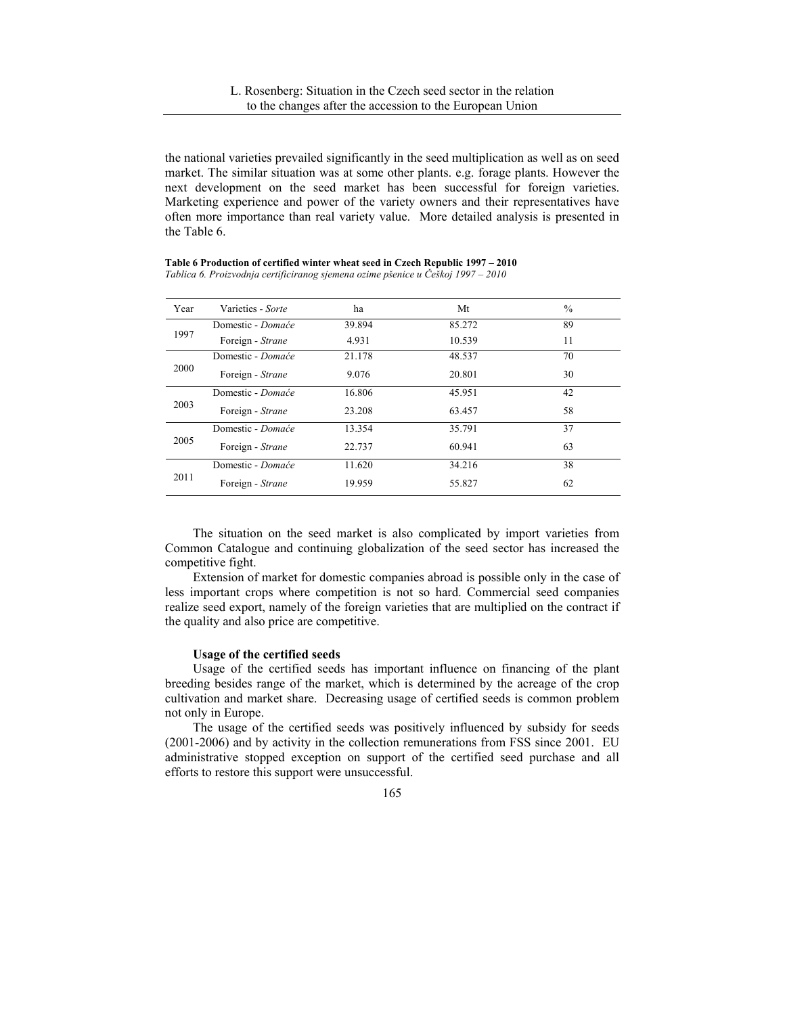the national varieties prevailed significantly in the seed multiplication as well as on seed market. The similar situation was at some other plants. e.g. forage plants. However the next development on the seed market has been successful for foreign varieties. Marketing experience and power of the variety owners and their representatives have often more importance than real variety value. More detailed analysis is presented in the Table 6.

| Year | Varieties - Sorte | ha     | Mt     | $\frac{0}{0}$ |
|------|-------------------|--------|--------|---------------|
|      | Domestic - Domaće | 39.894 | 85.272 | 89            |
| 1997 | Foreign - Strane  | 4.931  | 10.539 | 11            |
|      | Domestic - Domaće | 21.178 | 48.537 | 70            |
| 2000 | Foreign - Strane  | 9.076  | 20.801 | 30            |
| 2003 | Domestic - Domaće | 16.806 | 45.951 | 42            |
|      | Foreign - Strane  | 23.208 | 63.457 | 58            |
|      | Domestic - Domaće | 13.354 | 35.791 | 37            |
| 2005 | Foreign - Strane  | 22.737 | 60.941 | 63            |
| 2011 | Domestic - Domaće | 11.620 | 34.216 | 38            |
|      | Foreign - Strane  | 19.959 | 55.827 | 62            |

**Table 6 Production of certified winter wheat seed in Czech Republic 1997 – 2010**  *Tablica 6. Proizvodnja certificiranog sjemena ozime pšenice u Češkoj 1997 – 2010* 

The situation on the seed market is also complicated by import varieties from Common Catalogue and continuing globalization of the seed sector has increased the competitive fight.

Extension of market for domestic companies abroad is possible only in the case of less important crops where competition is not so hard. Commercial seed companies realize seed export, namely of the foreign varieties that are multiplied on the contract if the quality and also price are competitive.

#### **Usage of the certified seeds**

Usage of the certified seeds has important influence on financing of the plant breeding besides range of the market, which is determined by the acreage of the crop cultivation and market share. Decreasing usage of certified seeds is common problem not only in Europe.

The usage of the certified seeds was positively influenced by subsidy for seeds (2001-2006) and by activity in the collection remunerations from FSS since 2001. EU administrative stopped exception on support of the certified seed purchase and all efforts to restore this support were unsuccessful.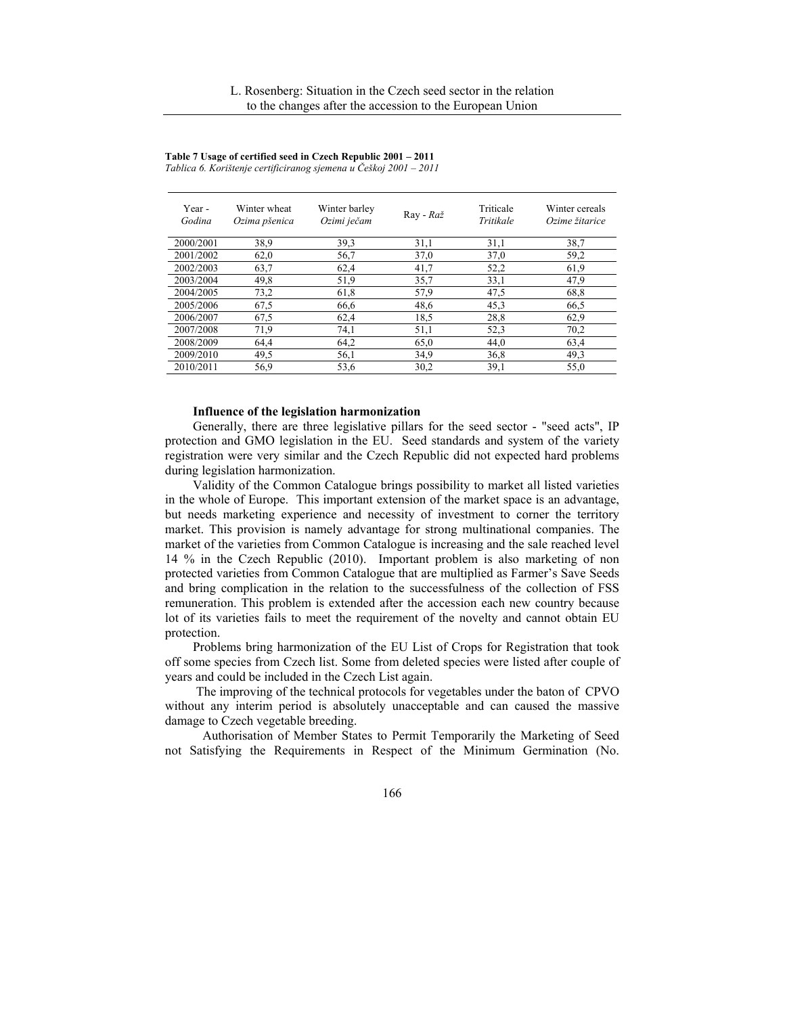| Year -<br>Godina | Winter wheat<br>Ozima pšenica | Winter barley<br>Ozimi ječam | Ray - Raž | Triticale<br>Tritikale | Winter cereals<br>Ozime žitarice |
|------------------|-------------------------------|------------------------------|-----------|------------------------|----------------------------------|
| 2000/2001        | 38.9                          | 39.3                         | 31,1      | 31,1                   | 38,7                             |
| 2001/2002        | 62,0                          | 56,7                         | 37,0      | 37,0                   | 59,2                             |
| 2002/2003        | 63,7                          | 62,4                         | 41,7      | 52,2                   | 61,9                             |
| 2003/2004        | 49,8                          | 51,9                         | 35,7      | 33,1                   | 47,9                             |
| 2004/2005        | 73,2                          | 61,8                         | 57,9      | 47,5                   | 68,8                             |
| 2005/2006        | 67,5                          | 66,6                         | 48,6      | 45,3                   | 66,5                             |
| 2006/2007        | 67,5                          | 62,4                         | 18,5      | 28,8                   | 62,9                             |
| 2007/2008        | 71,9                          | 74,1                         | 51,1      | 52,3                   | 70,2                             |
| 2008/2009        | 64,4                          | 64,2                         | 65,0      | 44,0                   | 63,4                             |
| 2009/2010        | 49.5                          | 56,1                         | 34,9      | 36,8                   | 49,3                             |
| 2010/2011        | 56.9                          | 53,6                         | 30,2      | 39,1                   | 55,0                             |

**Table 7 Usage of certified seed in Czech Republic 2001 – 2011** 

*Tablica 6. Korištenje certificiranog sjemena u Češkoj 2001 – 2011* 

### **Influence of the legislation harmonization**

Generally, there are three legislative pillars for the seed sector - "seed acts", IP protection and GMO legislation in the EU. Seed standards and system of the variety registration were very similar and the Czech Republic did not expected hard problems during legislation harmonization.

Validity of the Common Catalogue brings possibility to market all listed varieties in the whole of Europe. This important extension of the market space is an advantage, but needs marketing experience and necessity of investment to corner the territory market. This provision is namely advantage for strong multinational companies. The market of the varieties from Common Catalogue is increasing and the sale reached level 14 % in the Czech Republic (2010). Important problem is also marketing of non protected varieties from Common Catalogue that are multiplied as Farmer's Save Seeds and bring complication in the relation to the successfulness of the collection of FSS remuneration. This problem is extended after the accession each new country because lot of its varieties fails to meet the requirement of the novelty and cannot obtain EU protection.

Problems bring harmonization of the EU List of Crops for Registration that took off some species from Czech list. Some from deleted species were listed after couple of years and could be included in the Czech List again.

 The improving of the technical protocols for vegetables under the baton of CPVO without any interim period is absolutely unacceptable and can caused the massive damage to Czech vegetable breeding.

 Authorisation of Member States to Permit Temporarily the Marketing of Seed not Satisfying the Requirements in Respect of the Minimum Germination (No.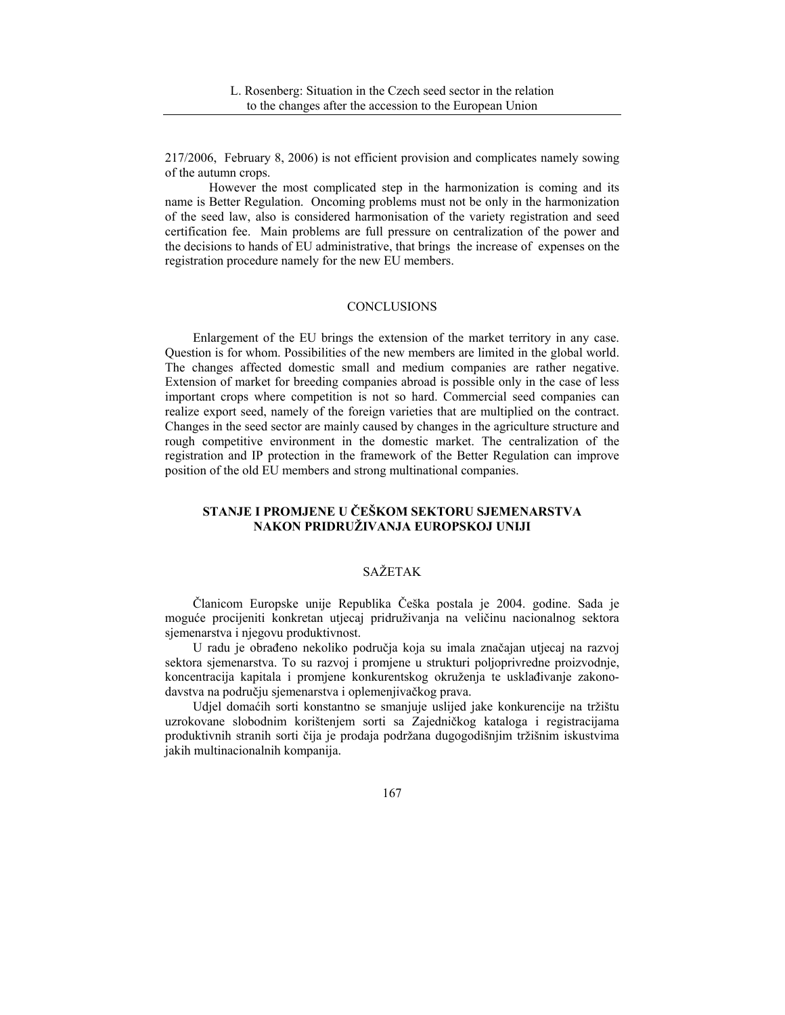217/2006, February 8, 2006) is not efficient provision and complicates namely sowing of the autumn crops.

 However the most complicated step in the harmonization is coming and its name is Better Regulation. Oncoming problems must not be only in the harmonization of the seed law, also is considered harmonisation of the variety registration and seed certification fee. Main problems are full pressure on centralization of the power and the decisions to hands of EU administrative, that brings the increase of expenses on the registration procedure namely for the new EU members.

### **CONCLUSIONS**

Enlargement of the EU brings the extension of the market territory in any case. Question is for whom. Possibilities of the new members are limited in the global world. The changes affected domestic small and medium companies are rather negative. Extension of market for breeding companies abroad is possible only in the case of less important crops where competition is not so hard. Commercial seed companies can realize export seed, namely of the foreign varieties that are multiplied on the contract. Changes in the seed sector are mainly caused by changes in the agriculture structure and rough competitive environment in the domestic market. The centralization of the registration and IP protection in the framework of the Better Regulation can improve position of the old EU members and strong multinational companies.

# **STANJE I PROMJENE U ČEŠKOM SEKTORU SJEMENARSTVA NAKON PRIDRUŽIVANJA EUROPSKOJ UNIJI**

# SAŽETAK

Članicom Europske unije Republika Češka postala je 2004. godine. Sada je moguće procijeniti konkretan utjecaj pridruživanja na veličinu nacionalnog sektora sjemenarstva i njegovu produktivnost.

U radu je obrađeno nekoliko područja koja su imala značajan utjecaj na razvoj sektora sjemenarstva. To su razvoj i promjene u strukturi poljoprivredne proizvodnje, koncentracija kapitala i promjene konkurentskog okruženja te usklađivanje zakonodavstva na području sjemenarstva i oplemenjivačkog prava.

Udjel domaćih sorti konstantno se smanjuje uslijed jake konkurencije na tržištu uzrokovane slobodnim korištenjem sorti sa Zajedničkog kataloga i registracijama produktivnih stranih sorti čija je prodaja podržana dugogodišnjim tržišnim iskustvima jakih multinacionalnih kompanija.